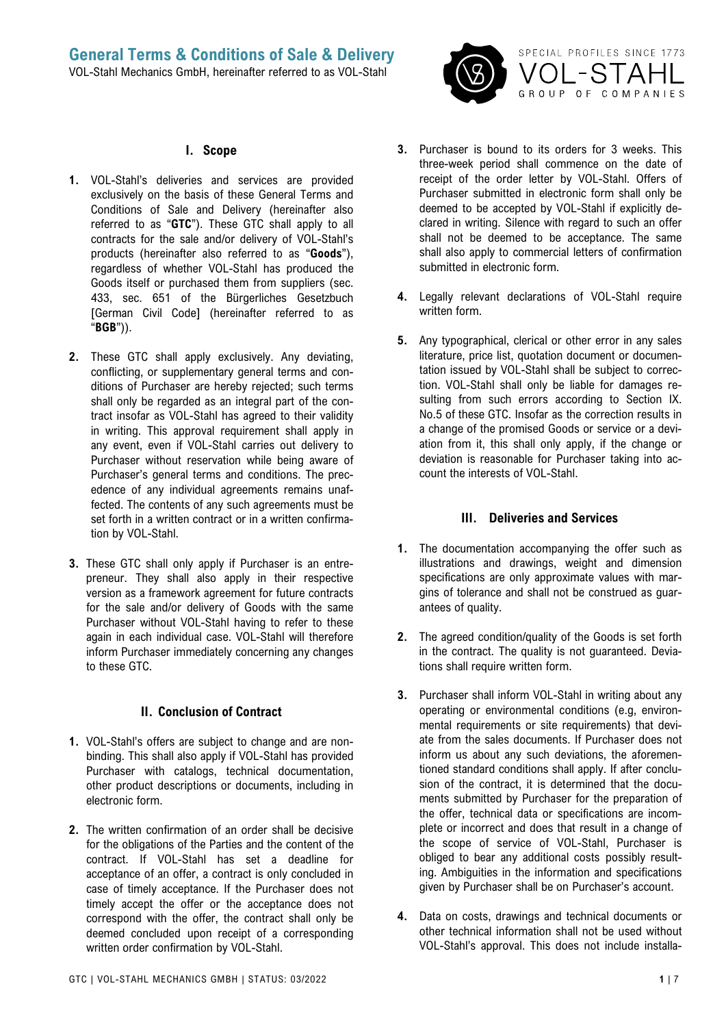

#### **I. Scope**

- **1.** VOL-Stahl's deliveries and services are provided exclusively on the basis of these General Terms and Conditions of Sale and Delivery (hereinafter also referred to as "**GTC**"). These GTC shall apply to all contracts for the sale and/or delivery of VOL-Stahl's products (hereinafter also referred to as "**Goods**"), regardless of whether VOL-Stahl has produced the Goods itself or purchased them from suppliers (sec. 433, sec. 651 of the Bürgerliches Gesetzbuch [German Civil Code] (hereinafter referred to as "**BGB**")).
- **2.** These GTC shall apply exclusively. Any deviating, conflicting, or supplementary general terms and conditions of Purchaser are hereby rejected; such terms shall only be regarded as an integral part of the contract insofar as VOL-Stahl has agreed to their validity in writing. This approval requirement shall apply in any event, even if VOL-Stahl carries out delivery to Purchaser without reservation while being aware of Purchaser's general terms and conditions. The precedence of any individual agreements remains unaffected. The contents of any such agreements must be set forth in a written contract or in a written confirmation by VOL-Stahl.
- **3.** These GTC shall only apply if Purchaser is an entrepreneur. They shall also apply in their respective version as a framework agreement for future contracts for the sale and/or delivery of Goods with the same Purchaser without VOL-Stahl having to refer to these again in each individual case. VOL-Stahl will therefore inform Purchaser immediately concerning any changes to these GTC.

### **II. Conclusion of Contract**

- **1.** VOL-Stahl's offers are subject to change and are nonbinding. This shall also apply if VOL-Stahl has provided Purchaser with catalogs, technical documentation, other product descriptions or documents, including in electronic form.
- **2.** The written confirmation of an order shall be decisive for the obligations of the Parties and the content of the contract. If VOL-Stahl has set a deadline for acceptance of an offer, a contract is only concluded in case of timely acceptance. If the Purchaser does not timely accept the offer or the acceptance does not correspond with the offer, the contract shall only be deemed concluded upon receipt of a corresponding written order confirmation by VOL-Stahl.
- **3.** Purchaser is bound to its orders for 3 weeks. This three-week period shall commence on the date of receipt of the order letter by VOL-Stahl. Offers of Purchaser submitted in electronic form shall only be deemed to be accepted by VOL-Stahl if explicitly declared in writing. Silence with regard to such an offer shall not be deemed to be acceptance. The same shall also apply to commercial letters of confirmation submitted in electronic form.
- **4.** Legally relevant declarations of VOL-Stahl require written form.
- **5.** Any typographical, clerical or other error in any sales literature, price list, quotation document or documentation issued by VOL-Stahl shall be subject to correction. VOL-Stahl shall only be liable for damages resulting from such errors according to Section IX. No.5 of these GTC. Insofar as the correction results in a change of the promised Goods or service or a deviation from it, this shall only apply, if the change or deviation is reasonable for Purchaser taking into account the interests of VOL-Stahl.

#### **III. Deliveries and Services**

- **1.** The documentation accompanying the offer such as illustrations and drawings, weight and dimension specifications are only approximate values with margins of tolerance and shall not be construed as guarantees of quality.
- **2.** The agreed condition/quality of the Goods is set forth in the contract. The quality is not guaranteed. Deviations shall require written form.
- **3.** Purchaser shall inform VOL-Stahl in writing about any operating or environmental conditions (e.g, environmental requirements or site requirements) that deviate from the sales documents. If Purchaser does not inform us about any such deviations, the aforementioned standard conditions shall apply. If after conclusion of the contract, it is determined that the documents submitted by Purchaser for the preparation of the offer, technical data or specifications are incomplete or incorrect and does that result in a change of the scope of service of VOL-Stahl, Purchaser is obliged to bear any additional costs possibly resulting. Ambiguities in the information and specifications given by Purchaser shall be on Purchaser's account.
- **4.** Data on costs, drawings and technical documents or other technical information shall not be used without VOL-Stahl's approval. This does not include installa-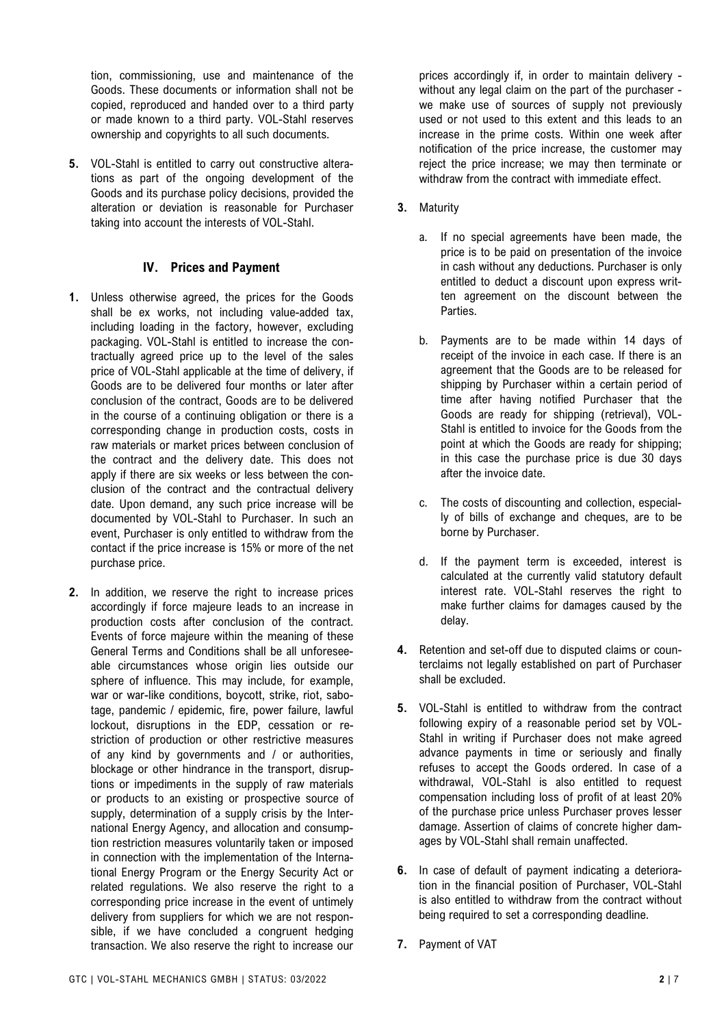tion, commissioning, use and maintenance of the Goods. These documents or information shall not be copied, reproduced and handed over to a third party or made known to a third party. VOL-Stahl reserves ownership and copyrights to all such documents.

**5.** VOL-Stahl is entitled to carry out constructive alterations as part of the ongoing development of the Goods and its purchase policy decisions, provided the alteration or deviation is reasonable for Purchaser taking into account the interests of VOL-Stahl.

# **IV. Prices and Payment**

- **1.** Unless otherwise agreed, the prices for the Goods shall be ex works, not including value-added tax, including loading in the factory, however, excluding packaging. VOL-Stahl is entitled to increase the contractually agreed price up to the level of the sales price of VOL-Stahl applicable at the time of delivery, if Goods are to be delivered four months or later after conclusion of the contract, Goods are to be delivered in the course of a continuing obligation or there is a corresponding change in production costs, costs in raw materials or market prices between conclusion of the contract and the delivery date. This does not apply if there are six weeks or less between the conclusion of the contract and the contractual delivery date. Upon demand, any such price increase will be documented by VOL-Stahl to Purchaser. In such an event, Purchaser is only entitled to withdraw from the contact if the price increase is 15% or more of the net purchase price.
- **2.** In addition, we reserve the right to increase prices accordingly if force majeure leads to an increase in production costs after conclusion of the contract. Events of force majeure within the meaning of these General Terms and Conditions shall be all unforeseeable circumstances whose origin lies outside our sphere of influence. This may include, for example, war or war-like conditions, boycott, strike, riot, sabotage, pandemic / epidemic, fire, power failure, lawful lockout, disruptions in the EDP, cessation or restriction of production or other restrictive measures of any kind by governments and / or authorities, blockage or other hindrance in the transport, disruptions or impediments in the supply of raw materials or products to an existing or prospective source of supply, determination of a supply crisis by the International Energy Agency, and allocation and consumption restriction measures voluntarily taken or imposed in connection with the implementation of the International Energy Program or the Energy Security Act or related regulations. We also reserve the right to a corresponding price increase in the event of untimely delivery from suppliers for which we are not responsible, if we have concluded a congruent hedging transaction. We also reserve the right to increase our

prices accordingly if, in order to maintain delivery without any legal claim on the part of the purchaser we make use of sources of supply not previously used or not used to this extent and this leads to an increase in the prime costs. Within one week after notification of the price increase, the customer may reject the price increase; we may then terminate or withdraw from the contract with immediate effect.

- **3.** Maturity
	- a. If no special agreements have been made, the price is to be paid on presentation of the invoice in cash without any deductions. Purchaser is only entitled to deduct a discount upon express written agreement on the discount between the Parties.
	- b. Payments are to be made within 14 days of receipt of the invoice in each case. If there is an agreement that the Goods are to be released for shipping by Purchaser within a certain period of time after having notified Purchaser that the Goods are ready for shipping (retrieval), VOL-Stahl is entitled to invoice for the Goods from the point at which the Goods are ready for shipping; in this case the purchase price is due 30 days after the invoice date.
	- c. The costs of discounting and collection, especially of bills of exchange and cheques, are to be borne by Purchaser.
	- d. If the payment term is exceeded, interest is calculated at the currently valid statutory default interest rate. VOL-Stahl reserves the right to make further claims for damages caused by the delay.
- **4.** Retention and set-off due to disputed claims or counterclaims not legally established on part of Purchaser shall be excluded.
- **5.** VOL-Stahl is entitled to withdraw from the contract following expiry of a reasonable period set by VOL-Stahl in writing if Purchaser does not make agreed advance payments in time or seriously and finally refuses to accept the Goods ordered. In case of a withdrawal, VOL-Stahl is also entitled to request compensation including loss of profit of at least 20% of the purchase price unless Purchaser proves lesser damage. Assertion of claims of concrete higher damages by VOL-Stahl shall remain unaffected.
- **6.** In case of default of payment indicating a deterioration in the financial position of Purchaser, VOL-Stahl is also entitled to withdraw from the contract without being required to set a corresponding deadline.
- **7.** Payment of VAT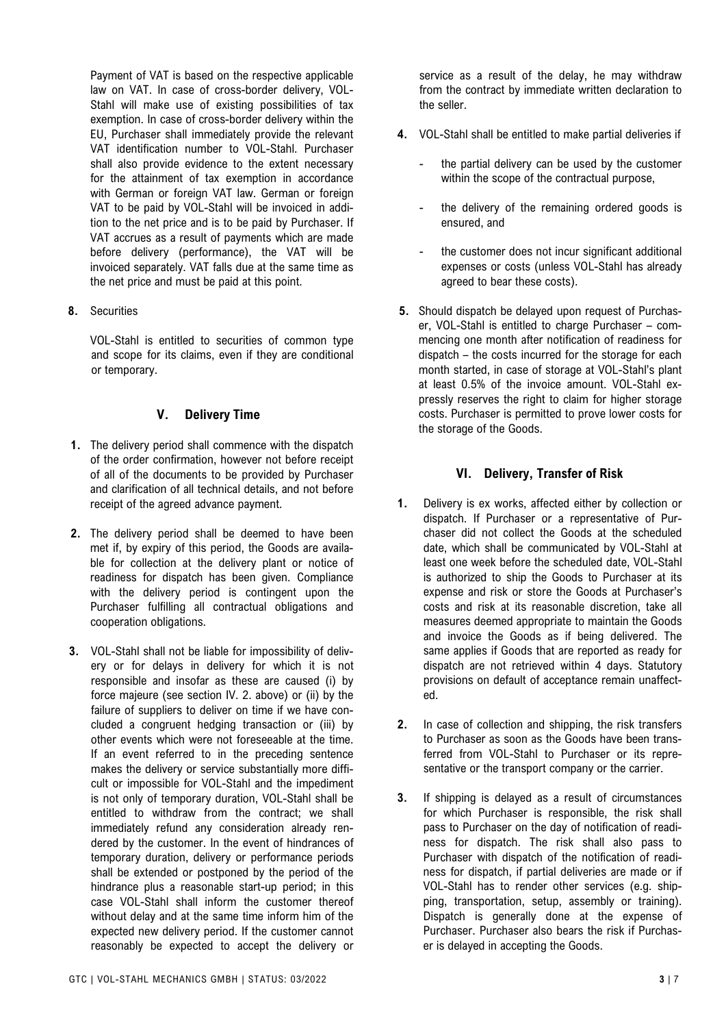Payment of VAT is based on the respective applicable law on VAT. In case of cross-border delivery, VOL-Stahl will make use of existing possibilities of tax exemption. In case of cross-border delivery within the EU, Purchaser shall immediately provide the relevant VAT identification number to VOL-Stahl. Purchaser shall also provide evidence to the extent necessary for the attainment of tax exemption in accordance with German or foreign VAT law. German or foreign VAT to be paid by VOL-Stahl will be invoiced in addition to the net price and is to be paid by Purchaser. If VAT accrues as a result of payments which are made before delivery (performance), the VAT will be invoiced separately. VAT falls due at the same time as the net price and must be paid at this point.

**8.** Securities

VOL-Stahl is entitled to securities of common type and scope for its claims, even if they are conditional or temporary.

# **V. Delivery Time**

- **1.** The delivery period shall commence with the dispatch of the order confirmation, however not before receipt of all of the documents to be provided by Purchaser and clarification of all technical details, and not before receipt of the agreed advance payment.
- **2.** The delivery period shall be deemed to have been met if, by expiry of this period, the Goods are available for collection at the delivery plant or notice of readiness for dispatch has been given. Compliance with the delivery period is contingent upon the Purchaser fulfilling all contractual obligations and cooperation obligations.
- **3.** VOL-Stahl shall not be liable for impossibility of delivery or for delays in delivery for which it is not responsible and insofar as these are caused (i) by force majeure (see section IV. 2. above) or (ii) by the failure of suppliers to deliver on time if we have concluded a congruent hedging transaction or (iii) by other events which were not foreseeable at the time. If an event referred to in the preceding sentence makes the delivery or service substantially more difficult or impossible for VOL-Stahl and the impediment is not only of temporary duration, VOL-Stahl shall be entitled to withdraw from the contract; we shall immediately refund any consideration already rendered by the customer. In the event of hindrances of temporary duration, delivery or performance periods shall be extended or postponed by the period of the hindrance plus a reasonable start-up period; in this case VOL-Stahl shall inform the customer thereof without delay and at the same time inform him of the expected new delivery period. If the customer cannot reasonably be expected to accept the delivery or

service as a result of the delay, he may withdraw from the contract by immediate written declaration to the seller.

- **4.** VOL-Stahl shall be entitled to make partial deliveries if
	- the partial delivery can be used by the customer within the scope of the contractual purpose,
	- the delivery of the remaining ordered goods is ensured, and
	- the customer does not incur significant additional expenses or costs (unless VOL-Stahl has already agreed to bear these costs).
- **5.** Should dispatch be delayed upon request of Purchaser, VOL-Stahl is entitled to charge Purchaser – commencing one month after notification of readiness for dispatch – the costs incurred for the storage for each month started, in case of storage at VOL-Stahl's plant at least 0.5% of the invoice amount. VOL-Stahl expressly reserves the right to claim for higher storage costs. Purchaser is permitted to prove lower costs for the storage of the Goods.

# **VI. Delivery, Transfer of Risk**

- **1.** Delivery is ex works, affected either by collection or dispatch. If Purchaser or a representative of Purchaser did not collect the Goods at the scheduled date, which shall be communicated by VOL-Stahl at least one week before the scheduled date, VOL-Stahl is authorized to ship the Goods to Purchaser at its expense and risk or store the Goods at Purchaser's costs and risk at its reasonable discretion, take all measures deemed appropriate to maintain the Goods and invoice the Goods as if being delivered. The same applies if Goods that are reported as ready for dispatch are not retrieved within 4 days. Statutory provisions on default of acceptance remain unaffected.
- **2.** In case of collection and shipping, the risk transfers to Purchaser as soon as the Goods have been transferred from VOL-Stahl to Purchaser or its representative or the transport company or the carrier.
- **3.** If shipping is delayed as a result of circumstances for which Purchaser is responsible, the risk shall pass to Purchaser on the day of notification of readiness for dispatch. The risk shall also pass to Purchaser with dispatch of the notification of readiness for dispatch, if partial deliveries are made or if VOL-Stahl has to render other services (e.g. shipping, transportation, setup, assembly or training). Dispatch is generally done at the expense of Purchaser. Purchaser also bears the risk if Purchaser is delayed in accepting the Goods.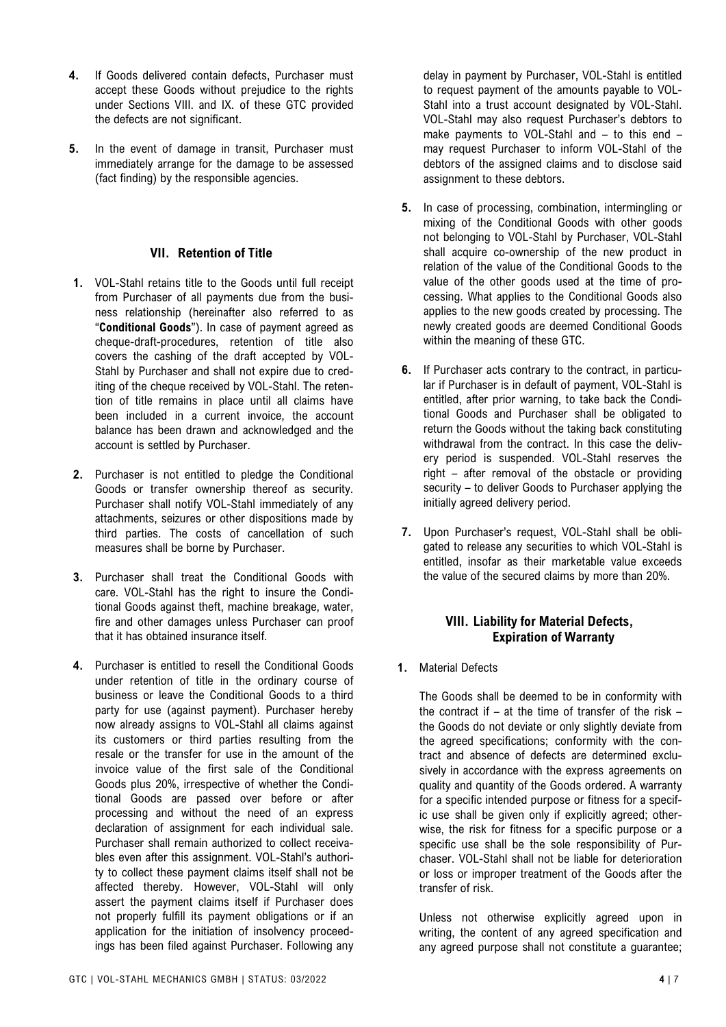- **4.** If Goods delivered contain defects, Purchaser must accept these Goods without prejudice to the rights under Sections VIII. and IX. of these GTC provided the defects are not significant.
- **5.** In the event of damage in transit, Purchaser must immediately arrange for the damage to be assessed (fact finding) by the responsible agencies.

## **VII. Retention of Title**

- **1.** VOL-Stahl retains title to the Goods until full receipt from Purchaser of all payments due from the business relationship (hereinafter also referred to as "**Conditional Goods**"). In case of payment agreed as cheque-draft-procedures, retention of title also covers the cashing of the draft accepted by VOL-Stahl by Purchaser and shall not expire due to crediting of the cheque received by VOL-Stahl. The retention of title remains in place until all claims have been included in a current invoice, the account balance has been drawn and acknowledged and the account is settled by Purchaser.
- **2.** Purchaser is not entitled to pledge the Conditional Goods or transfer ownership thereof as security. Purchaser shall notify VOL-Stahl immediately of any attachments, seizures or other dispositions made by third parties. The costs of cancellation of such measures shall be borne by Purchaser.
- **3.** Purchaser shall treat the Conditional Goods with care. VOL-Stahl has the right to insure the Conditional Goods against theft, machine breakage, water, fire and other damages unless Purchaser can proof that it has obtained insurance itself.
- **4.** Purchaser is entitled to resell the Conditional Goods under retention of title in the ordinary course of business or leave the Conditional Goods to a third party for use (against payment). Purchaser hereby now already assigns to VOL-Stahl all claims against its customers or third parties resulting from the resale or the transfer for use in the amount of the invoice value of the first sale of the Conditional Goods plus 20%, irrespective of whether the Conditional Goods are passed over before or after processing and without the need of an express declaration of assignment for each individual sale. Purchaser shall remain authorized to collect receivables even after this assignment. VOL-Stahl's authority to collect these payment claims itself shall not be affected thereby. However, VOL-Stahl will only assert the payment claims itself if Purchaser does not properly fulfill its payment obligations or if an application for the initiation of insolvency proceedings has been filed against Purchaser. Following any

delay in payment by Purchaser, VOL-Stahl is entitled to request payment of the amounts payable to VOL-Stahl into a trust account designated by VOL-Stahl. VOL-Stahl may also request Purchaser's debtors to make payments to VOL-Stahl and – to this end – may request Purchaser to inform VOL-Stahl of the debtors of the assigned claims and to disclose said assignment to these debtors.

- **5.** In case of processing, combination, intermingling or mixing of the Conditional Goods with other goods not belonging to VOL-Stahl by Purchaser, VOL-Stahl shall acquire co-ownership of the new product in relation of the value of the Conditional Goods to the value of the other goods used at the time of processing. What applies to the Conditional Goods also applies to the new goods created by processing. The newly created goods are deemed Conditional Goods within the meaning of these GTC.
- **6.** If Purchaser acts contrary to the contract, in particular if Purchaser is in default of payment, VOL-Stahl is entitled, after prior warning, to take back the Conditional Goods and Purchaser shall be obligated to return the Goods without the taking back constituting withdrawal from the contract. In this case the delivery period is suspended. VOL-Stahl reserves the right – after removal of the obstacle or providing security – to deliver Goods to Purchaser applying the initially agreed delivery period.
- **7.** Upon Purchaser's request, VOL-Stahl shall be obligated to release any securities to which VOL-Stahl is entitled, insofar as their marketable value exceeds the value of the secured claims by more than 20%.

# **VIII. Liability for Material Defects, Expiration of Warranty**

**1.** Material Defects

The Goods shall be deemed to be in conformity with the contract if – at the time of transfer of the risk – the Goods do not deviate or only slightly deviate from the agreed specifications; conformity with the contract and absence of defects are determined exclusively in accordance with the express agreements on quality and quantity of the Goods ordered. A warranty for a specific intended purpose or fitness for a specific use shall be given only if explicitly agreed; otherwise, the risk for fitness for a specific purpose or a specific use shall be the sole responsibility of Purchaser. VOL-Stahl shall not be liable for deterioration or loss or improper treatment of the Goods after the transfer of risk.

Unless not otherwise explicitly agreed upon in writing, the content of any agreed specification and any agreed purpose shall not constitute a guarantee;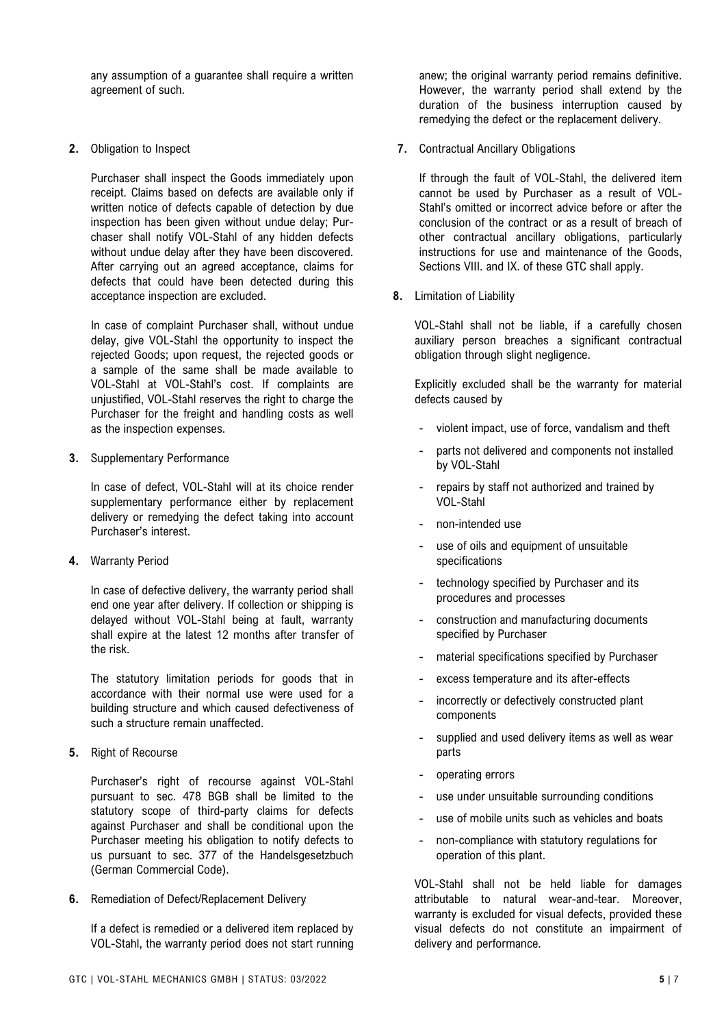any assumption of a guarantee shall require a written agreement of such.

**2.** Obligation to Inspect

Purchaser shall inspect the Goods immediately upon receipt. Claims based on defects are available only if written notice of defects capable of detection by due inspection has been given without undue delay; Purchaser shall notify VOL-Stahl of any hidden defects without undue delay after they have been discovered. After carrying out an agreed acceptance, claims for defects that could have been detected during this acceptance inspection are excluded.

In case of complaint Purchaser shall, without undue delay, give VOL-Stahl the opportunity to inspect the rejected Goods; upon request, the rejected goods or a sample of the same shall be made available to VOL-Stahl at VOL-Stahl's cost. If complaints are unjustified, VOL-Stahl reserves the right to charge the Purchaser for the freight and handling costs as well as the inspection expenses.

**3.** Supplementary Performance

In case of defect, VOL-Stahl will at its choice render supplementary performance either by replacement delivery or remedying the defect taking into account Purchaser's interest.

**4.** Warranty Period

In case of defective delivery, the warranty period shall end one year after delivery. If collection or shipping is delayed without VOL-Stahl being at fault, warranty shall expire at the latest 12 months after transfer of the risk.

The statutory limitation periods for goods that in accordance with their normal use were used for a building structure and which caused defectiveness of such a structure remain unaffected.

**5.** Right of Recourse

Purchaser's right of recourse against VOL-Stahl pursuant to sec. 478 BGB shall be limited to the statutory scope of third-party claims for defects against Purchaser and shall be conditional upon the Purchaser meeting his obligation to notify defects to us pursuant to sec. 377 of the Handelsgesetzbuch (German Commercial Code).

**6.** Remediation of Defect/Replacement Delivery

If a defect is remedied or a delivered item replaced by VOL-Stahl, the warranty period does not start running anew; the original warranty period remains definitive. However, the warranty period shall extend by the duration of the business interruption caused by remedying the defect or the replacement delivery.

**7.** Contractual Ancillary Obligations

If through the fault of VOL-Stahl, the delivered item cannot be used by Purchaser as a result of VOL-Stahl's omitted or incorrect advice before or after the conclusion of the contract or as a result of breach of other contractual ancillary obligations, particularly instructions for use and maintenance of the Goods, Sections VIII. and IX. of these GTC shall apply.

**8.** Limitation of Liability

VOL-Stahl shall not be liable, if a carefully chosen auxiliary person breaches a significant contractual obligation through slight negligence.

Explicitly excluded shall be the warranty for material defects caused by

- violent impact, use of force, vandalism and theft
- parts not delivered and components not installed by VOL-Stahl
- repairs by staff not authorized and trained by VOL-Stahl
- non-intended use
- use of oils and equipment of unsuitable specifications
- technology specified by Purchaser and its procedures and processes
- construction and manufacturing documents specified by Purchaser
- material specifications specified by Purchaser
- excess temperature and its after-effects
- incorrectly or defectively constructed plant components
- supplied and used delivery items as well as wear parts
- operating errors
- use under unsuitable surrounding conditions
- use of mobile units such as vehicles and boats
- non-compliance with statutory regulations for operation of this plant.

VOL-Stahl shall not be held liable for damages attributable to natural wear-and-tear. Moreover, warranty is excluded for visual defects, provided these visual defects do not constitute an impairment of delivery and performance.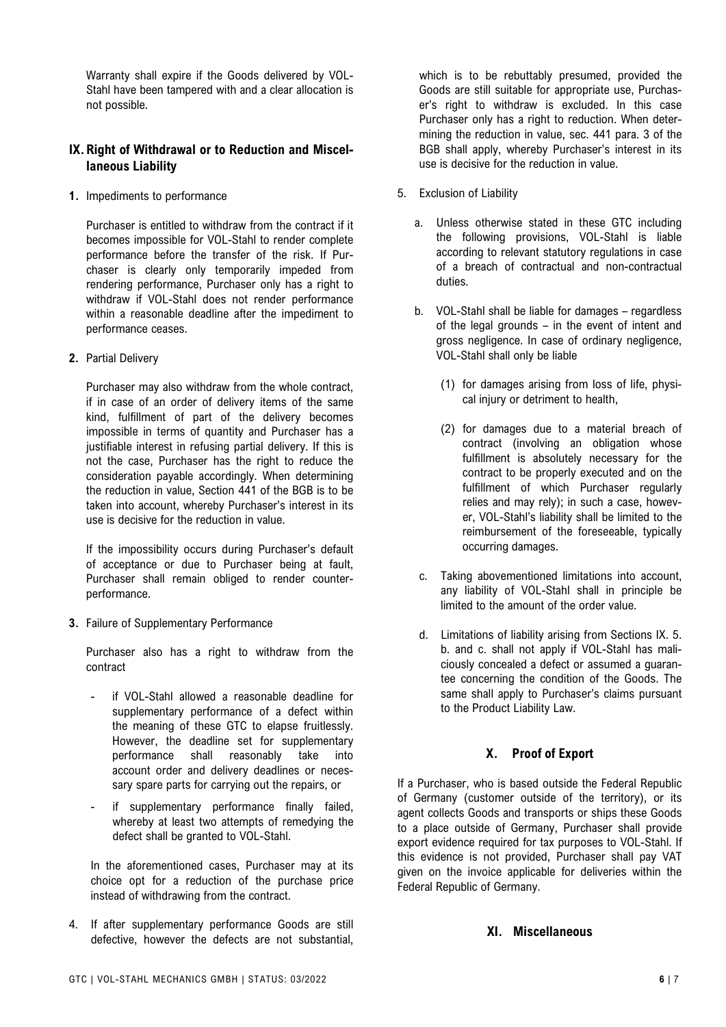Warranty shall expire if the Goods delivered by VOL-Stahl have been tampered with and a clear allocation is not possible.

# **IX.Right of Withdrawal or to Reduction and Miscellaneous Liability**

**1.** Impediments to performance

Purchaser is entitled to withdraw from the contract if it becomes impossible for VOL-Stahl to render complete performance before the transfer of the risk. If Purchaser is clearly only temporarily impeded from rendering performance, Purchaser only has a right to withdraw if VOL-Stahl does not render performance within a reasonable deadline after the impediment to performance ceases.

**2.** Partial Delivery

Purchaser may also withdraw from the whole contract, if in case of an order of delivery items of the same kind, fulfillment of part of the delivery becomes impossible in terms of quantity and Purchaser has a justifiable interest in refusing partial delivery. If this is not the case, Purchaser has the right to reduce the consideration payable accordingly. When determining the reduction in value, Section 441 of the BGB is to be taken into account, whereby Purchaser's interest in its use is decisive for the reduction in value.

If the impossibility occurs during Purchaser's default of acceptance or due to Purchaser being at fault, Purchaser shall remain obliged to render counterperformance.

**3.** Failure of Supplementary Performance

Purchaser also has a right to withdraw from the contract

- if VOL-Stahl allowed a reasonable deadline for supplementary performance of a defect within the meaning of these GTC to elapse fruitlessly. However, the deadline set for supplementary<br>performance shall reasonably take into performance shall reasonably take into account order and delivery deadlines or necessary spare parts for carrying out the repairs, or
- if supplementary performance finally failed, whereby at least two attempts of remedying the defect shall be granted to VOL-Stahl.

In the aforementioned cases, Purchaser may at its choice opt for a reduction of the purchase price instead of withdrawing from the contract.

4. If after supplementary performance Goods are still defective, however the defects are not substantial, which is to be rebuttably presumed, provided the Goods are still suitable for appropriate use, Purchaser's right to withdraw is excluded. In this case Purchaser only has a right to reduction. When determining the reduction in value, sec. 441 para. 3 of the BGB shall apply, whereby Purchaser's interest in its use is decisive for the reduction in value.

- 5. Exclusion of Liability
	- a. Unless otherwise stated in these GTC including the following provisions, VOL-Stahl is liable according to relevant statutory regulations in case of a breach of contractual and non-contractual duties.
	- b. VOL-Stahl shall be liable for damages regardless of the legal grounds – in the event of intent and gross negligence. In case of ordinary negligence, VOL-Stahl shall only be liable
		- (1) for damages arising from loss of life, physical injury or detriment to health,
		- (2) for damages due to a material breach of contract (involving an obligation whose fulfillment is absolutely necessary for the contract to be properly executed and on the fulfillment of which Purchaser regularly relies and may rely); in such a case, however, VOL-Stahl's liability shall be limited to the reimbursement of the foreseeable, typically occurring damages.
	- c. Taking abovementioned limitations into account, any liability of VOL-Stahl shall in principle be limited to the amount of the order value.
	- d. Limitations of liability arising from Sections IX. 5. b. and c. shall not apply if VOL-Stahl has maliciously concealed a defect or assumed a guarantee concerning the condition of the Goods. The same shall apply to Purchaser's claims pursuant to the Product Liability Law.

# **X. Proof of Export**

If a Purchaser, who is based outside the Federal Republic of Germany (customer outside of the territory), or its agent collects Goods and transports or ships these Goods to a place outside of Germany, Purchaser shall provide export evidence required for tax purposes to VOL-Stahl. If this evidence is not provided, Purchaser shall pay VAT given on the invoice applicable for deliveries within the Federal Republic of Germany.

# **XI. Miscellaneous**